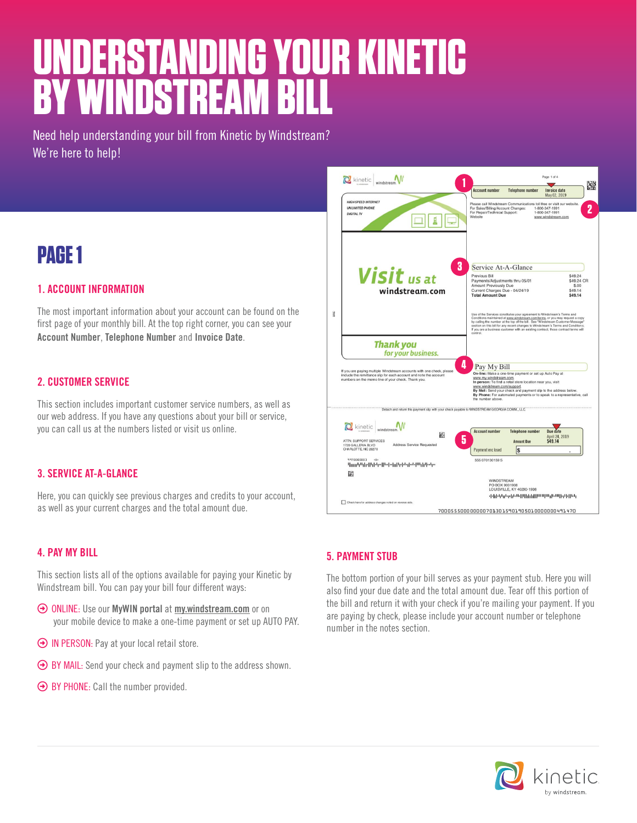# **UNDERSTANDING YOUR KINETIC BY WINDSTREAM BILL**

Need help understanding your bill from Kinetic by Windstream? We're here to help!

# **PAGE 1**

### **1. ACCOUNT INFORMATION**

The most important information about your account can be found on the first page of your monthly bill. At the top right corner, you can see your **Account Number**, **Telephone Number** and **Invoice Date**.

### **2. CUSTOMER SERVICE**

This section includes important customer service numbers, as well as our web address. If you have any questions about your bill or service, you can call us at the numbers listed or visit us online.

### **3. SERVICE AT-A-GLANCE**

Here, you can quickly see previous charges and credits to your account, as well as your current charges and the total amount due.

### **4. PAY MY BILL**

This section lists all of the options available for paying your Kinetic by Windstream bill. You can pay your bill four different ways:

- ³ ONLINE: Use our **MyWIN portal** at **[my.windstream.com](http://www.my.windstream.com)** or on your mobile device to make a one-time payment or set up AUTO PAY.
- $\Theta$  IN PERSON: Pay at your local retail store.
- $\Theta$  BY MAIL: Send your check and payment slip to the address shown.
- $\Theta$  BY PHONE: Call the number provided.



### **5. PAYMENT STUB**

The bottom portion of your bill serves as your payment stub. Here you will also find your due date and the total amount due. Tear off this portion of the bill and return it with your check if you're mailing your payment. If you are paying by check, please include your account number or telephone number in the notes section.